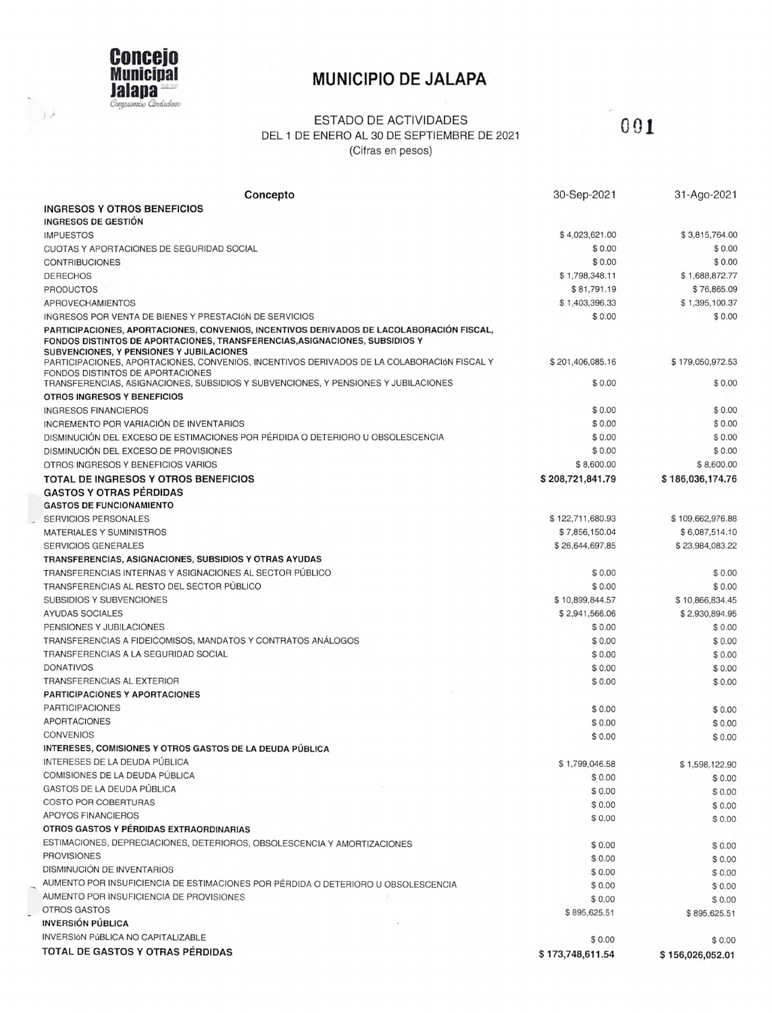

بر<br>نبوار

## **Jalapa MUNICIPIO DE JALAPA**

## ESTADO DE ACTIVIDADES DEL 1 DE ENERO AL 30 DE SEPTIEMBRE DE 2021 (Cifras en pesos)

001

| Concepto                                                                                                                                                                                                             | 30-Sep-2021                | 31-Ago-2021                |
|----------------------------------------------------------------------------------------------------------------------------------------------------------------------------------------------------------------------|----------------------------|----------------------------|
| <b>INGRESOS Y OTROS BENEFICIOS</b>                                                                                                                                                                                   |                            |                            |
| INGRESOS DE GESTIÓN                                                                                                                                                                                                  |                            |                            |
| <b>IMPUESTOS</b>                                                                                                                                                                                                     | \$4,023,621.00             | \$3,815,764.00             |
| CUOTAS Y APORTACIONES DE SEGURIDAD SOCIAL                                                                                                                                                                            | \$0.00                     | \$0.00                     |
| <b>CONTRIBUCIONES</b>                                                                                                                                                                                                | \$0.00                     | \$0.00                     |
| <b>DERECHOS</b>                                                                                                                                                                                                      | \$1,798,348.11             | \$1,688,872.77             |
| <b>PRODUCTOS</b>                                                                                                                                                                                                     | \$81,791.19                | \$76,865.09                |
| <b>APROVECHAMIENTOS</b>                                                                                                                                                                                              | \$1,403,396.33             | \$1,395,100.37             |
| INGRESOS POR VENTA DE BIENES Y PRESTACIÓN DE SERVICIOS                                                                                                                                                               | \$0.00                     | \$0.00                     |
| PARTICIPACIONES, APORTACIONES, CONVENIOS, INCENTIVOS DERIVADOS DE LACOLABORACIÓN FISCAL,<br>FONDOS DISTINTOS DE APORTACIONES, TRANSFERENCIAS, ASIGNACIONES, SUBSIDIOS Y<br>SUBVENCIONES. Y PENSIONES Y JUBILACIONES  |                            |                            |
| PARTICIPACIONES, APORTACIONES, CONVENIOS, INCENTIVOS DERIVADOS DE LA COLABORACIÓN FISCAL Y<br>FONDOS DISTINTOS DE APORTACIONES<br>TRANSFERENCIAS, ASIGNACIONES, SUBSIDIOS Y SUBVENCIONES, Y PENSIONES Y JUBILACIONES | \$201,406,085.16<br>\$0.00 | \$179,050,972.53<br>\$0.00 |
| OTROS INGRESOS Y BENEFICIOS                                                                                                                                                                                          |                            |                            |
| <b>INGRESOS FINANCIEROS</b>                                                                                                                                                                                          | \$0.00                     | \$0.00                     |
| INCREMENTO POR VARIACIÓN DE INVENTARIOS                                                                                                                                                                              | \$0.00                     | \$0.00                     |
| DISMINUCIÓN DEL EXCESO DE ESTIMACIONES POR PÉRDIDA O DETERIORO U OBSOLESCENCIA                                                                                                                                       | \$0.00                     | \$0.00                     |
| DISMINUCIÓN DEL EXCESO DE PROVISIONES                                                                                                                                                                                | \$0.00                     | \$0.00                     |
| OTROS INGRESOS Y BENEFICIOS VARIOS                                                                                                                                                                                   | \$8,600.00                 | \$8,600.00                 |
| <b>TOTAL DE INGRESOS Y OTROS BENEFICIOS</b>                                                                                                                                                                          | \$208,721,841.79           | \$186,036,174.76           |
| <b>GASTOS Y OTRAS PÉRDIDAS</b>                                                                                                                                                                                       |                            |                            |
| <b>GASTOS DE FUNCIONAMIENTO</b>                                                                                                                                                                                      |                            |                            |
| <b>SERVICIOS PERSONALES</b>                                                                                                                                                                                          | \$122,711,680.93           | \$109,662,976.88           |
| MATERIALES Y SUMINISTROS                                                                                                                                                                                             | \$7,856,150.04             | \$6,087,514.10             |
| <b>SERVICIOS GENERALES</b>                                                                                                                                                                                           | \$26,644,697.85            | \$23,984,083.22            |
| TRANSFERENCIAS, ASIGNACIONES, SUBSIDIOS Y OTRAS AYUDAS                                                                                                                                                               |                            |                            |
| TRANSFERENCIAS INTERNAS Y ASIGNACIONES AL SECTOR PÚBLICO                                                                                                                                                             | \$0.00                     | \$0.00                     |
| TRANSFERENCIAS AL RESTO DEL SECTOR PÚBLICO                                                                                                                                                                           | \$0.00                     | \$0.00                     |
| <b>SUBSIDIOS Y SUBVENCIONES</b>                                                                                                                                                                                      | \$10,899,844.57            | \$10,866,834.45            |
| <b>AYUDAS SOCIALES</b>                                                                                                                                                                                               | \$2,941,566.06             | \$2,930,894.95             |
| PENSIONES Y JUBILACIONES                                                                                                                                                                                             | \$0.00                     | \$0.00                     |
| TRANSFERENCIAS A FIDEICOMISOS, MANDATOS Y CONTRATOS ANÁLOGOS                                                                                                                                                         | \$0.00                     | \$0.00                     |
| TRANSFERENCIAS A LA SEGURIDAD SOCIAL                                                                                                                                                                                 | \$0.00                     | \$0.00                     |
| <b>DONATIVOS</b>                                                                                                                                                                                                     | \$0.00                     | \$0.00                     |
| TRANSFERENCIAS AL EXTERIOR                                                                                                                                                                                           | \$0.00                     | \$0.00                     |
| <b>PARTICIPACIONES Y APORTACIONES</b>                                                                                                                                                                                |                            |                            |
| <b>PARTICIPACIONES</b>                                                                                                                                                                                               | \$0.00                     | \$0.00                     |
| <b>APORTACIONES</b>                                                                                                                                                                                                  | \$0.00                     | \$0.00                     |
| <b>CONVENIOS</b>                                                                                                                                                                                                     | \$0.00                     | \$0.00                     |
| INTERESES, COMISIONES Y OTROS GASTOS DE LA DEUDA PÚBLICA                                                                                                                                                             |                            |                            |
| INTERESES DE LA DEUDA PÚBLICA                                                                                                                                                                                        | \$1,799,046.58             | \$1,598,122.90             |
| COMISIONES DE LA DEUDA PÚBLICA                                                                                                                                                                                       | \$0.00                     | \$0.00                     |
| GASTOS DE LA DEUDA PÚBLICA                                                                                                                                                                                           | \$0.00                     | \$0.00                     |
| <b>COSTO POR COBERTURAS</b>                                                                                                                                                                                          | \$0.00                     | \$0.00                     |
| APOYOS FINANCIEROS                                                                                                                                                                                                   | \$0.00                     | \$0.00                     |
| OTROS GASTOS Y PÉRDIDAS EXTRAORDINARIAS                                                                                                                                                                              |                            |                            |
| ESTIMACIONES, DEPRECIACIONES, DETERIOROS, OBSOLESCENCIA Y AMORTIZACIONES                                                                                                                                             | \$0.00                     | \$0.00                     |
| <b>PROVISIONES</b>                                                                                                                                                                                                   | \$0.00                     | \$0.00                     |
| DISMINUCIÓN DE INVENTARIOS                                                                                                                                                                                           | \$0.00                     | \$0.00                     |
| AUMENTO POR INSUFICIENCIA DE ESTIMACIONES POR PÉRDIDA O DETERIORO U OBSOLESCENCIA                                                                                                                                    | \$0.00                     | \$0.00                     |
| AUMENTO POR INSUFICIENCIA DE PROVISIONES                                                                                                                                                                             | \$0.00                     | \$0.00                     |
| <b>OTROS GASTOS</b>                                                                                                                                                                                                  | \$895,625.51               | \$895,625.51               |
| <b>INVERSIÓN PÚBLICA</b>                                                                                                                                                                                             |                            |                            |
| <b>INVERSIÓN PÚBLICA NO CAPITALIZABLE</b>                                                                                                                                                                            | \$0.00                     | \$0.00                     |
| TOTAL DE GASTOS Y OTRAS PÉRDIDAS                                                                                                                                                                                     | \$173,748,611.54           | \$156,026,052.01           |